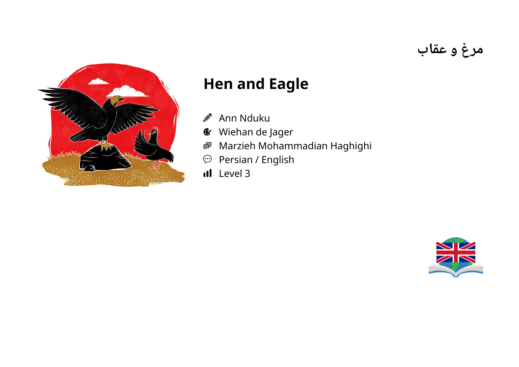

## **Hen and Eagle**

- $\mathscr{D}$ Ann Nduku
- Wiehan de Jager  $\mathcal{L}$
- Marzieh Mohammadian Haghighi 粵
- Persian / English  $\bigodot$
- Il Level 3



**مرغ و عقاب**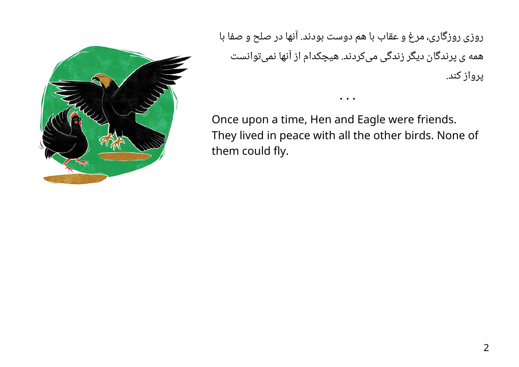

روزی روزگاری، مرغ و عقاب با هم دوست بودند. آنها در صلح و صفا با همه ی پرندگان دیگر زندگی میکردند. هیچکدام از آنها نمیتوانست پرواز کند.

Once upon a time, Hen and Eagle were friends. They lived in peace with all the other birds. None of them could fly.

• • •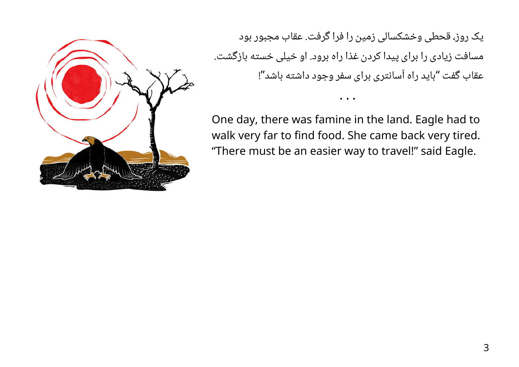

یک روز، قحطی وخشکسالی زمین را فرا گرفت. عقاب مجبور بود مسافت زیادی را برای پیدا کردن غذا راه برود. او خیلی خسته بازگشت. عقاب گفت "باید راه آسانتری برای سفر وجود داشته باشد"!

One day, there was famine in the land. Eagle had to walk very far to find food. She came back very tired. "There must be an easier way to travel!" said Eagle.

• • •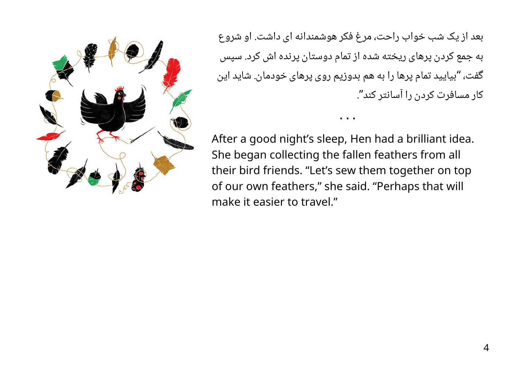بعد از یک شب خواب راحت، مرغ فکر هوشمندانه ای داشت. او شروع به جمع کردن پرهای ریخته شده از تمام دوستان پرنده اش کرد. سپس گفت، "بیایید تمام پرها را به هم بدوزیم روی پرهای خودمان. شاید این ." کار مسافرت کردن را آسانتر کند

• • •

After a good night's sleep, Hen had a brilliant idea. She began collecting the fallen feathers from all their bird friends. "Let's sew them together on top of our own feathers," she said. "Perhaps that will make it easier to travel."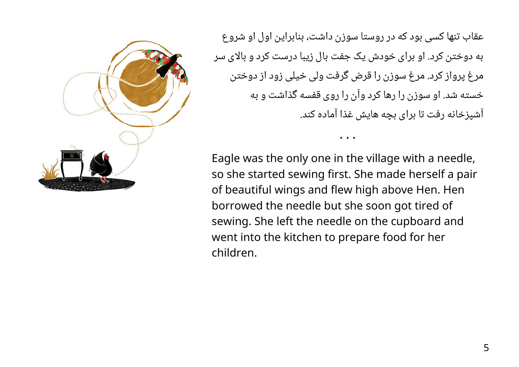عقاب تنها کسی بود که در روستا سوزن داشت، بنابراین اول او شروع به دوختن کرد. او برای خودش یک جفت بال زیبا درست کرد و بالای سر مرغ پرواز کرد. مرغ سوزن را قرض گرفت ولی خیلی زود از دوختن خسته شد. او سوزن را رها کرد وآن را روی قفسه گذاشت و به آشپزخانه رفت تا برای بچه هایش غذا آماده کند.

• • •

Eagle was the only one in the village with a needle, so she started sewing first. She made herself a pair of beautiful wings and flew high above Hen. Hen borrowed the needle but she soon got tired of sewing. She left the needle on the cupboard and went into the kitchen to prepare food for her children.

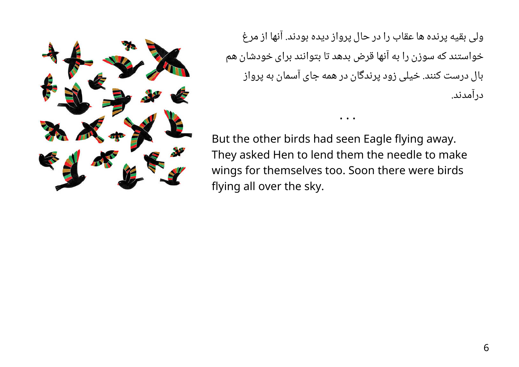

ولی بقیه پرنده ها عقاب را در حال پرواز دیده بودند. آنها از مرغ خواستند که سوزن را به آنها قرض بدهد تا بتوانند برای خودشان هم بال درست کنند. خیلی زود پرندگان در همه جای آسمان به پرواز درآمدند.

• • •

But the other birds had seen Eagle flying away. They asked Hen to lend them the needle to make wings for themselves too. Soon there were birds flying all over the sky.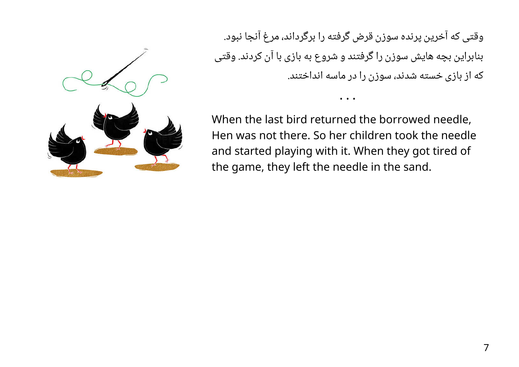وقتی که آخرین پرنده سوزن قرض گرفته را برگرداند، مرغ آنجا نبود. بنابراین بچه هایش سوزن را گرفتند و شروع به بازی با آن کردند. وقتی که از بازی خسته شدند، سوزن را در ماسه انداختند.

• • •

When the last bird returned the borrowed needle, Hen was not there. So her children took the needle and started playing with it. When they got tired of the game, they left the needle in the sand.

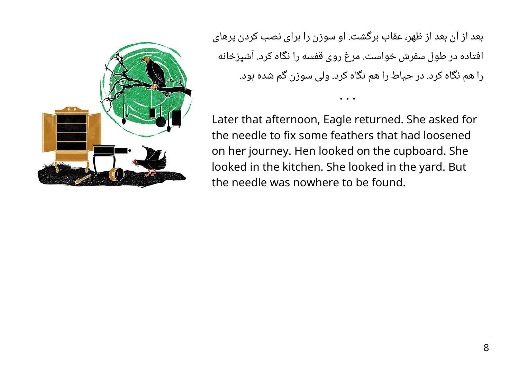

بعد از آن بعد از ظهر، عقاب برگشت. او سوزن را برای نصب کردن پرهای افتاده در طول سفرش خواست. مرغ روی قفسه را نگاه کرد. آشپزخانه را هم نگاه کرد. در حیاط را هم نگاه کرد. ولی سوزن گم شده بود.

• • •

Later that afternoon, Eagle returned. She asked for the needle to fix some feathers that had loosened on her journey. Hen looked on the cupboard. She looked in the kitchen. She looked in the yard. But the needle was nowhere to be found.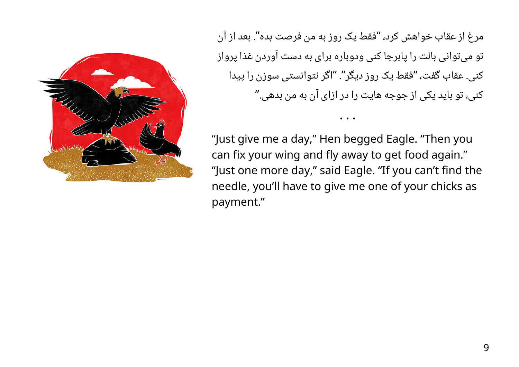

مرغ از عقاب خواهش کرد، "فقط یک روز به من فرصت بده". بعد از آن تو میتوانی بالت را پابرجا کنی ودوباره برای به دست آوردن غذا پرواز کنی. عقاب گفت، "فقط یک روز دیگر". "اگر نتوانستی سوزن را پیدا کنی، تو باید یکی از جوجه هایت را در ازای آن به من بدهی."

• • •

"Just give me a day," Hen begged Eagle. "Then you can fix your wing and fly away to get food again." "Just one more day," said Eagle. "If you can't find the needle, you'll have to give me one of your chicks as payment."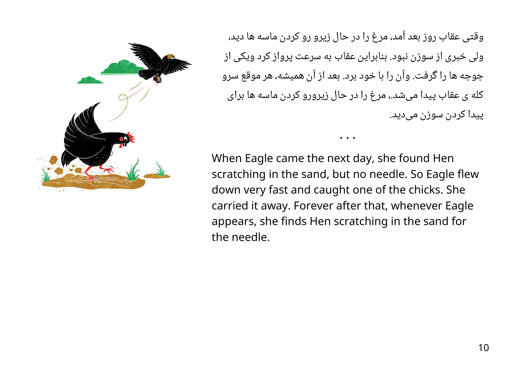

وقتی عقاب روز بعد آمد، مرغ را در حال زیرو رو کردن ماسه ها دید، ولی خبری از سوزن نبود. بنابراین عقاب به سرعت پرواز کرد ویکی از جوجه ها را گرفت. وآن را با خود برد. بعد از آن همیشه، هر موقع سرو کله ی عقاب پیدا میشد،. مرغ را در حال زیرورو کردن ماسه ها برای پیدا کردن سوزن میدید.

When Eagle came the next day, she found Hen scratching in the sand, but no needle. So Eagle flew down very fast and caught one of the chicks. She carried it away. Forever after that, whenever Eagle appears, she finds Hen scratching in the sand for the needle.

• • •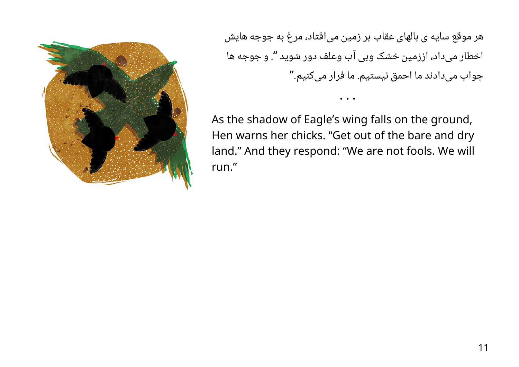

هر موقع سایه ی بالهای عقاب بر زمین میافتاد، مرغ به جوجه هایش اخطار میداد، اززمین خشک وبی آب وعلف دور شوید ". و جوجه ها جواب میدادند ما احمق نیستیم. ما فرار میکنیم."

• • •

As the shadow of Eagle's wing falls on the ground, Hen warns her chicks. "Get out of the bare and dry land." And they respond: "We are not fools. We will run."